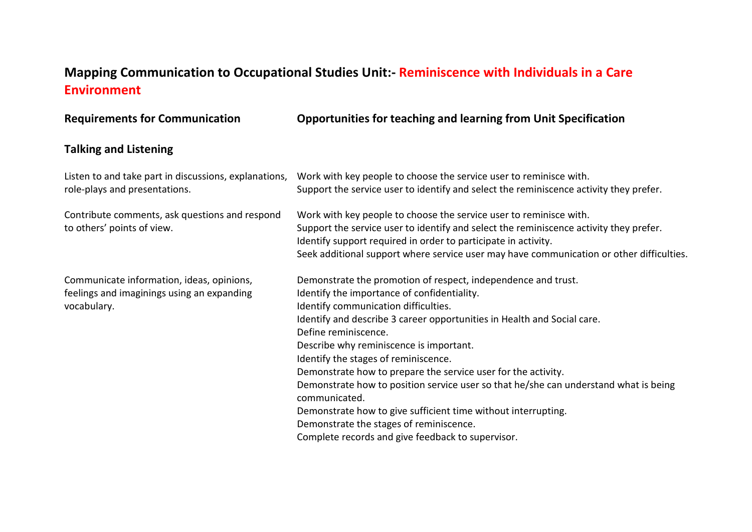## **Mapping Communication to Occupational Studies Unit:- Reminiscence with Individuals in a Care Environment**

**Requirements for Communication Opportunities for teaching and learning from Unit Specification Talking and Listening** Listen to and take part in discussions, explanations, role-plays and presentations. Work with key people to choose the service user to reminisce with. Support the service user to identify and select the reminiscence activity they prefer. Contribute comments, ask questions and respond to others' points of view. Work with key people to choose the service user to reminisce with. Support the service user to identify and select the reminiscence activity they prefer. Identify support required in order to participate in activity. Seek additional support where service user may have communication or other difficulties. Communicate information, ideas, opinions, feelings and imaginings using an expanding vocabulary. Demonstrate the promotion of respect, independence and trust. Identify the importance of confidentiality. Identify communication difficulties. Identify and describe 3 career opportunities in Health and Social care. Define reminiscence. Describe why reminiscence is important. Identify the stages of reminiscence. Demonstrate how to prepare the service user for the activity. Demonstrate how to position service user so that he/she can understand what is being communicated. Demonstrate how to give sufficient time without interrupting. Demonstrate the stages of reminiscence. Complete records and give feedback to supervisor.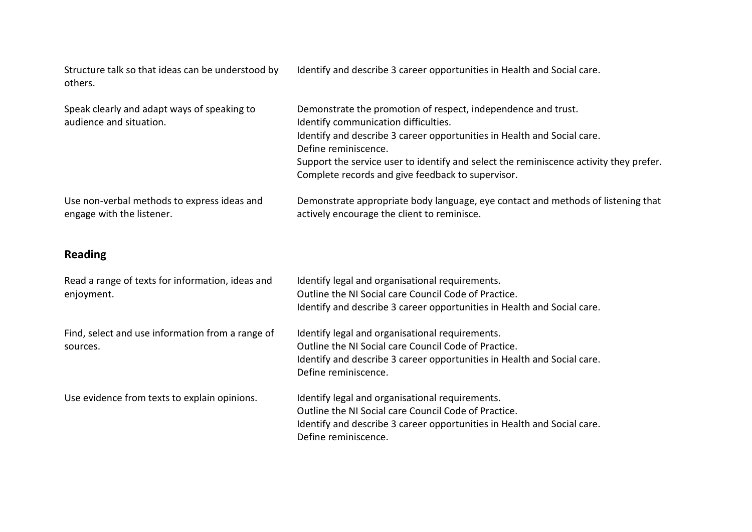Structure talk so that ideas can be understood by others.

Identify and describe 3 career opportunities in Health and Social care.

| Speak clearly and adapt ways of speaking to<br>audience and situation. | Demonstrate the promotion of respect, independence and trust.<br>Identify communication difficulties.<br>Identify and describe 3 career opportunities in Health and Social care.<br>Define reminiscence.<br>Support the service user to identify and select the reminiscence activity they prefer.<br>Complete records and give feedback to supervisor. |
|------------------------------------------------------------------------|---------------------------------------------------------------------------------------------------------------------------------------------------------------------------------------------------------------------------------------------------------------------------------------------------------------------------------------------------------|
| Use non-verbal methods to express ideas and                            | Demonstrate appropriate body language, eye contact and methods of listening that                                                                                                                                                                                                                                                                        |
| engage with the listener.                                              | actively encourage the client to reminisce.                                                                                                                                                                                                                                                                                                             |

## **Reading**

| Read a range of texts for information, ideas and<br>enjoyment. | Identify legal and organisational requirements.<br>Outline the NI Social care Council Code of Practice.<br>Identify and describe 3 career opportunities in Health and Social care.                         |
|----------------------------------------------------------------|------------------------------------------------------------------------------------------------------------------------------------------------------------------------------------------------------------|
| Find, select and use information from a range of<br>sources.   | Identify legal and organisational requirements.<br>Outline the NI Social care Council Code of Practice.<br>Identify and describe 3 career opportunities in Health and Social care.<br>Define reminiscence. |
| Use evidence from texts to explain opinions.                   | Identify legal and organisational requirements.<br>Outline the NI Social care Council Code of Practice.<br>Identify and describe 3 career opportunities in Health and Social care.<br>Define reminiscence. |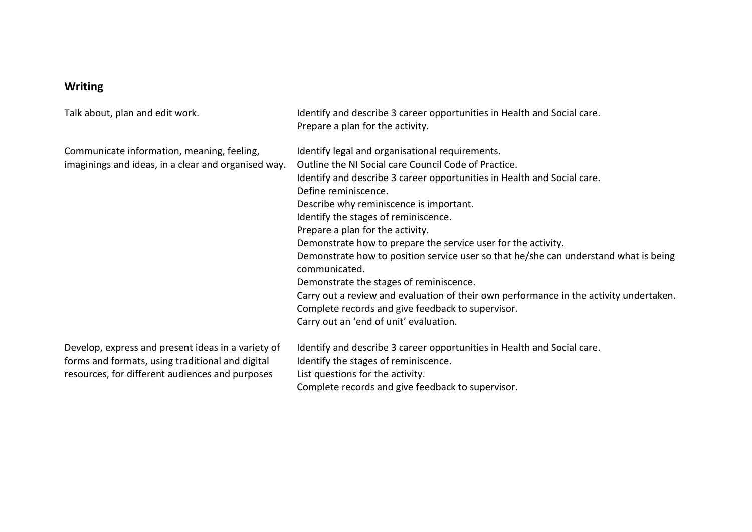## **Writing**

Communicate information, meaning, feeling, imaginings and ideas, in a clear and organised way.

Talk about, plan and edit work. In the state of ldentify and describe 3 career opportunities in Health and Social care. Prepare a plan for the activity.

Identify legal and organisational requirements. Outline the NI Social care Council Code of Practice. Identify and describe 3 career opportunities in Health and Social care. Define reminiscence. Describe why reminiscence is important. Identify the stages of reminiscence. Prepare a plan for the activity. Demonstrate how to prepare the service user for the activity. Demonstrate how to position service user so that he/she can understand what is being communicated. Demonstrate the stages of reminiscence. Carry out a review and evaluation of their own performance in the activity undertaken. Complete records and give feedback to supervisor. Carry out an 'end of unit' evaluation. Develop, express and present ideas in a variety of Identify and describe 3 career opportunities in Health and Social care. Identify the stages of reminiscence.

forms and formats, using traditional and digital resources, for different audiences and purposes

List questions for the activity.

Complete records and give feedback to supervisor.